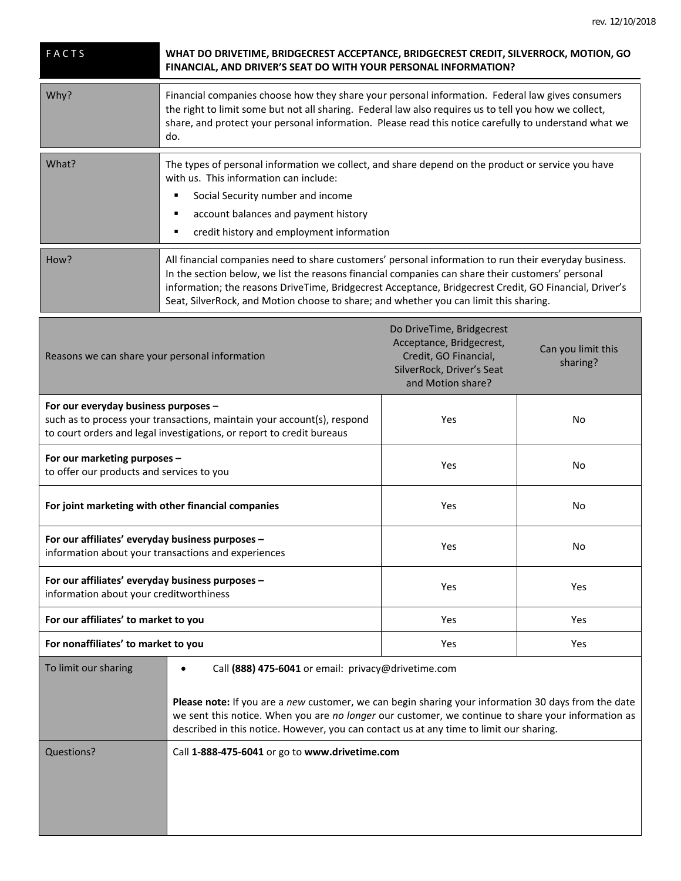| <b>FACTS</b> | WHAT DO DRIVETIME, BRIDGECREST ACCEPTANCE, BRIDGECREST CREDIT, SILVERROCK, MOTION, GO<br>FINANCIAL, AND DRIVER'S SEAT DO WITH YOUR PERSONAL INFORMATION?                                                                                                                                                                                                                                                      |  |
|--------------|---------------------------------------------------------------------------------------------------------------------------------------------------------------------------------------------------------------------------------------------------------------------------------------------------------------------------------------------------------------------------------------------------------------|--|
| Why?         | Financial companies choose how they share your personal information. Federal law gives consumers<br>the right to limit some but not all sharing. Federal law also requires us to tell you how we collect,<br>share, and protect your personal information. Please read this notice carefully to understand what we<br>do.                                                                                     |  |
| What?        | The types of personal information we collect, and share depend on the product or service you have<br>with us. This information can include:<br>Social Security number and income<br>account balances and payment history<br>credit history and employment information                                                                                                                                         |  |
| How?         | All financial companies need to share customers' personal information to run their everyday business.<br>In the section below, we list the reasons financial companies can share their customers' personal<br>information; the reasons DriveTime, Bridgecrest Acceptance, Bridgecrest Credit, GO Financial, Driver's<br>Seat, SilverRock, and Motion choose to share; and whether you can limit this sharing. |  |

| Reasons we can share your personal information                                                                                                                                           | Do DriveTime, Bridgecrest<br>Acceptance, Bridgecrest,<br>Credit, GO Financial,<br>SilverRock, Driver's Seat<br>and Motion share? | Can you limit this<br>sharing? |
|------------------------------------------------------------------------------------------------------------------------------------------------------------------------------------------|----------------------------------------------------------------------------------------------------------------------------------|--------------------------------|
| For our everyday business purposes -<br>such as to process your transactions, maintain your account(s), respond<br>to court orders and legal investigations, or report to credit bureaus | Yes                                                                                                                              | N <sub>o</sub>                 |
| For our marketing purposes -<br>to offer our products and services to you                                                                                                                | Yes                                                                                                                              | No.                            |
| For joint marketing with other financial companies                                                                                                                                       | Yes                                                                                                                              | No                             |
| For our affiliates' everyday business purposes -<br>information about your transactions and experiences                                                                                  | Yes                                                                                                                              | N <sub>o</sub>                 |
| For our affiliates' everyday business purposes -<br>information about your creditworthiness                                                                                              | Yes                                                                                                                              | Yes                            |
| For our affiliates' to market to you                                                                                                                                                     | Yes                                                                                                                              | Yes                            |
| For nonaffiliates' to market to you                                                                                                                                                      | Yes                                                                                                                              | <b>Yes</b>                     |
| To limit our sharing<br>Call (888) 475-6041 or email: privacy@drivetime.com                                                                                                              |                                                                                                                                  |                                |

|            | Please note: If you are a new customer, we can begin sharing your information 30 days from the date<br>we sent this notice. When you are no longer our customer, we continue to share your information as<br>described in this notice. However, you can contact us at any time to limit our sharing. |
|------------|------------------------------------------------------------------------------------------------------------------------------------------------------------------------------------------------------------------------------------------------------------------------------------------------------|
| Questions? | Call 1-888-475-6041 or go to www.drivetime.com                                                                                                                                                                                                                                                       |